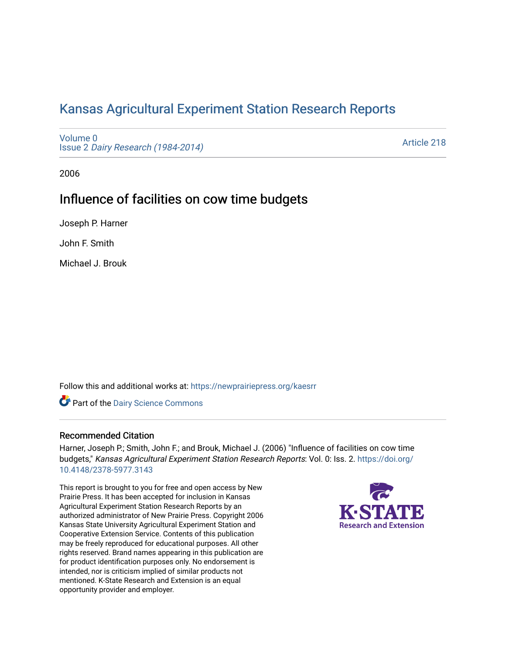# [Kansas Agricultural Experiment Station Research Reports](https://newprairiepress.org/kaesrr)

[Volume 0](https://newprairiepress.org/kaesrr/vol0) Issue 2 [Dairy Research \(1984-2014\)](https://newprairiepress.org/kaesrr/vol0/iss2) 

[Article 218](https://newprairiepress.org/kaesrr/vol0/iss2/218) 

2006

## Influence of facilities on cow time budgets

Joseph P. Harner

John F. Smith

Michael J. Brouk

Follow this and additional works at: [https://newprairiepress.org/kaesrr](https://newprairiepress.org/kaesrr?utm_source=newprairiepress.org%2Fkaesrr%2Fvol0%2Fiss2%2F218&utm_medium=PDF&utm_campaign=PDFCoverPages) 

Part of the [Dairy Science Commons](http://network.bepress.com/hgg/discipline/79?utm_source=newprairiepress.org%2Fkaesrr%2Fvol0%2Fiss2%2F218&utm_medium=PDF&utm_campaign=PDFCoverPages) 

## Recommended Citation

Harner, Joseph P.; Smith, John F.; and Brouk, Michael J. (2006) "Influence of facilities on cow time budgets," Kansas Agricultural Experiment Station Research Reports: Vol. 0: Iss. 2. [https://doi.org/](https://doi.org/10.4148/2378-5977.3143) [10.4148/2378-5977.3143](https://doi.org/10.4148/2378-5977.3143)

This report is brought to you for free and open access by New Prairie Press. It has been accepted for inclusion in Kansas Agricultural Experiment Station Research Reports by an authorized administrator of New Prairie Press. Copyright 2006 Kansas State University Agricultural Experiment Station and Cooperative Extension Service. Contents of this publication may be freely reproduced for educational purposes. All other rights reserved. Brand names appearing in this publication are for product identification purposes only. No endorsement is intended, nor is criticism implied of similar products not mentioned. K-State Research and Extension is an equal opportunity provider and employer.

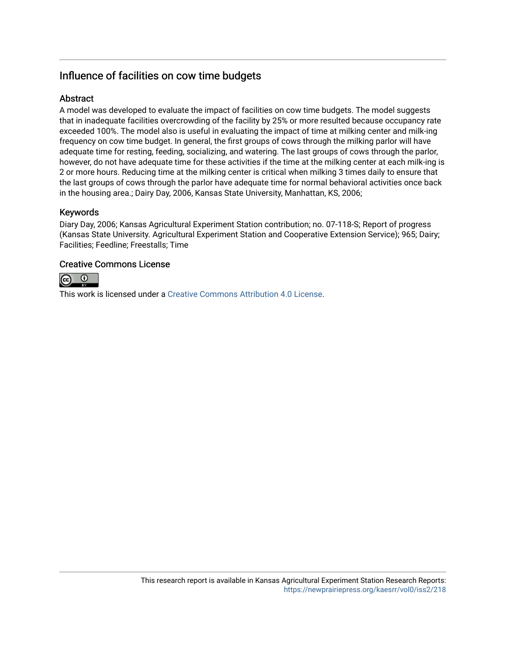## Influence of facilities on cow time budgets

## **Abstract**

A model was developed to evaluate the impact of facilities on cow time budgets. The model suggests that in inadequate facilities overcrowding of the facility by 25% or more resulted because occupancy rate exceeded 100%. The model also is useful in evaluating the impact of time at milking center and milk-ing frequency on cow time budget. In general, the first groups of cows through the milking parlor will have adequate time for resting, feeding, socializing, and watering. The last groups of cows through the parlor, however, do not have adequate time for these activities if the time at the milking center at each milk-ing is 2 or more hours. Reducing time at the milking center is critical when milking 3 times daily to ensure that the last groups of cows through the parlor have adequate time for normal behavioral activities once back in the housing area.; Dairy Day, 2006, Kansas State University, Manhattan, KS, 2006;

## Keywords

Diary Day, 2006; Kansas Agricultural Experiment Station contribution; no. 07-118-S; Report of progress (Kansas State University. Agricultural Experiment Station and Cooperative Extension Service); 965; Dairy; Facilities; Feedline; Freestalls; Time

## Creative Commons License



This work is licensed under a [Creative Commons Attribution 4.0 License](https://creativecommons.org/licenses/by/4.0/).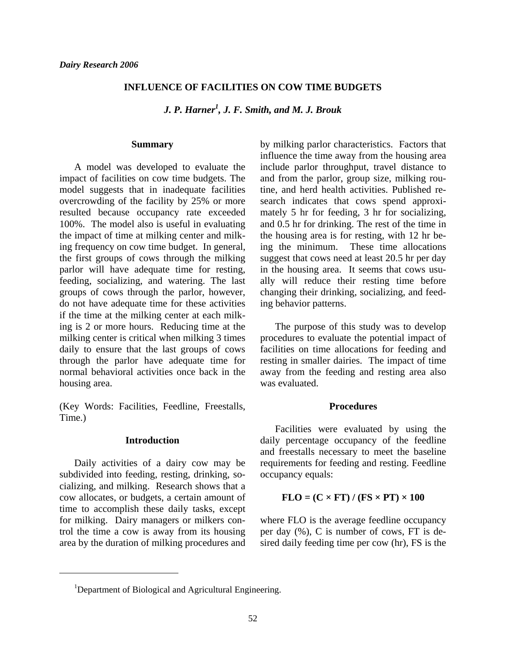## **INFLUENCE OF FACILITIES ON COW TIME BUDGETS**

*J. P. Harner<sup>1</sup> , J. F. Smith, and M. J. Brouk* 

#### **Summary**

A model was developed to evaluate the impact of facilities on cow time budgets. The model suggests that in inadequate facilities overcrowding of the facility by 25% or more resulted because occupancy rate exceeded 100%. The model also is useful in evaluating the impact of time at milking center and milking frequency on cow time budget. In general, the first groups of cows through the milking parlor will have adequate time for resting, feeding, socializing, and watering. The last groups of cows through the parlor, however, do not have adequate time for these activities if the time at the milking center at each milking is 2 or more hours. Reducing time at the milking center is critical when milking 3 times daily to ensure that the last groups of cows through the parlor have adequate time for normal behavioral activities once back in the housing area.

(Key Words: Facilities, Feedline, Freestalls, Time.)

#### **Introduction**

Daily activities of a dairy cow may be subdivided into feeding, resting, drinking, socializing, and milking. Research shows that a cow allocates, or budgets, a certain amount of time to accomplish these daily tasks, except for milking. Dairy managers or milkers control the time a cow is away from its housing area by the duration of milking procedures and

l

by milking parlor characteristics. Factors that influence the time away from the housing area include parlor throughput, travel distance to and from the parlor, group size, milking routine, and herd health activities. Published research indicates that cows spend approximately 5 hr for feeding, 3 hr for socializing, and 0.5 hr for drinking. The rest of the time in the housing area is for resting, with 12 hr being the minimum. These time allocations suggest that cows need at least 20.5 hr per day in the housing area. It seems that cows usually will reduce their resting time before changing their drinking, socializing, and feeding behavior patterns.

 The purpose of this study was to develop procedures to evaluate the potential impact of facilities on time allocations for feeding and resting in smaller dairies. The impact of time away from the feeding and resting area also was evaluated.

#### **Procedures**

Facilities were evaluated by using the daily percentage occupancy of the feedline and freestalls necessary to meet the baseline requirements for feeding and resting. Feedline occupancy equals:

## $FLO = (C \times FT) / (FS \times PT) \times 100$

where FLO is the average feedline occupancy per day (%), C is number of cows, FT is desired daily feeding time per cow (hr), FS is the

<sup>&</sup>lt;sup>1</sup>Department of Biological and Agricultural Engineering.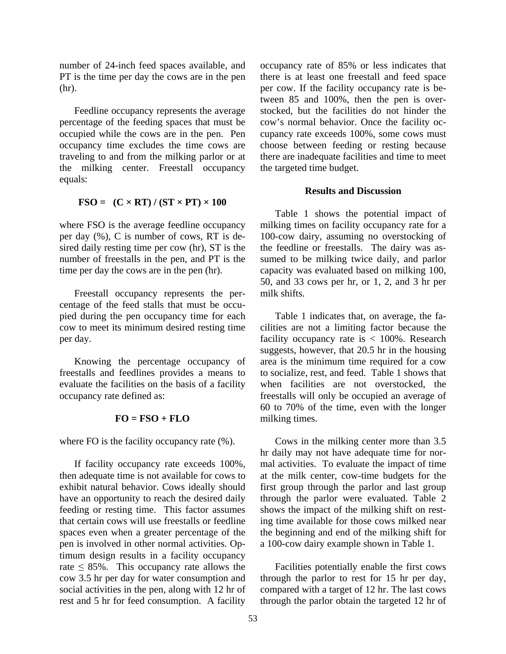number of 24-inch feed spaces available, and PT is the time per day the cows are in the pen (hr).

Feedline occupancy represents the average percentage of the feeding spaces that must be occupied while the cows are in the pen. Pen occupancy time excludes the time cows are traveling to and from the milking parlor or at the milking center. Freestall occupancy equals:

## $\text{FSO} = (\text{C} \times \text{RT}) / (\text{ST} \times \text{PT}) \times 100$

where FSO is the average feedline occupancy per day (%), C is number of cows, RT is desired daily resting time per cow (hr), ST is the number of freestalls in the pen, and PT is the time per day the cows are in the pen (hr).

Freestall occupancy represents the percentage of the feed stalls that must be occupied during the pen occupancy time for each cow to meet its minimum desired resting time per day.

Knowing the percentage occupancy of freestalls and feedlines provides a means to evaluate the facilities on the basis of a facility occupancy rate defined as:

## $FO = FSO + FLO$

where FO is the facility occupancy rate  $(\%).$ 

If facility occupancy rate exceeds 100%, then adequate time is not available for cows to exhibit natural behavior. Cows ideally should have an opportunity to reach the desired daily feeding or resting time. This factor assumes that certain cows will use freestalls or feedline spaces even when a greater percentage of the pen is involved in other normal activities. Optimum design results in a facility occupancy rate  $\leq$  85%. This occupancy rate allows the cow 3.5 hr per day for water consumption and social activities in the pen, along with 12 hr of rest and 5 hr for feed consumption. A facility

occupancy rate of 85% or less indicates that there is at least one freestall and feed space per cow. If the facility occupancy rate is between 85 and 100%, then the pen is overstocked, but the facilities do not hinder the cow's normal behavior. Once the facility occupancy rate exceeds 100%, some cows must choose between feeding or resting because there are inadequate facilities and time to meet the targeted time budget.

## **Results and Discussion**

Table 1 shows the potential impact of milking times on facility occupancy rate for a 100-cow dairy, assuming no overstocking of the feedline or freestalls. The dairy was assumed to be milking twice daily, and parlor capacity was evaluated based on milking 100, 50, and 33 cows per hr, or 1, 2, and 3 hr per milk shifts.

Table 1 indicates that, on average, the facilities are not a limiting factor because the facility occupancy rate is  $< 100\%$ . Research suggests, however, that 20.5 hr in the housing area is the minimum time required for a cow to socialize, rest, and feed. Table 1 shows that when facilities are not overstocked, the freestalls will only be occupied an average of 60 to 70% of the time, even with the longer milking times.

Cows in the milking center more than 3.5 hr daily may not have adequate time for normal activities. To evaluate the impact of time at the milk center, cow-time budgets for the first group through the parlor and last group through the parlor were evaluated. Table 2 shows the impact of the milking shift on resting time available for those cows milked near the beginning and end of the milking shift for a 100-cow dairy example shown in Table 1.

Facilities potentially enable the first cows through the parlor to rest for 15 hr per day, compared with a target of 12 hr. The last cows through the parlor obtain the targeted 12 hr of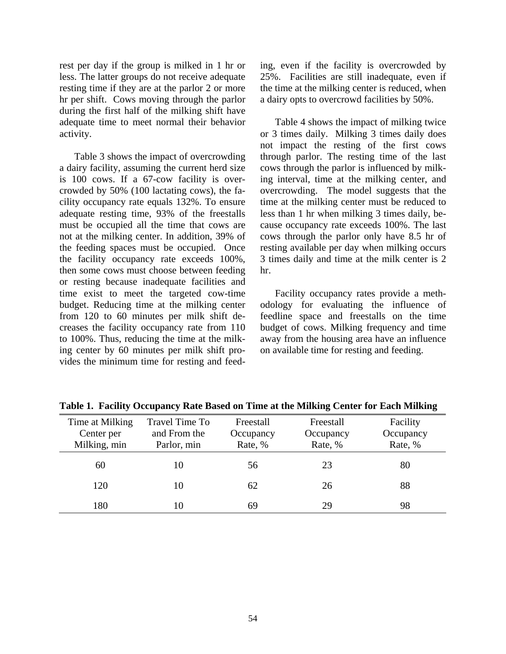rest per day if the group is milked in 1 hr or less. The latter groups do not receive adequate resting time if they are at the parlor 2 or more hr per shift. Cows moving through the parlor during the first half of the milking shift have adequate time to meet normal their behavior activity.

Table 3 shows the impact of overcrowding a dairy facility, assuming the current herd size is 100 cows. If a 67-cow facility is overcrowded by 50% (100 lactating cows), the facility occupancy rate equals 132%. To ensure adequate resting time, 93% of the freestalls must be occupied all the time that cows are not at the milking center. In addition, 39% of the feeding spaces must be occupied. Once the facility occupancy rate exceeds 100%, then some cows must choose between feeding or resting because inadequate facilities and time exist to meet the targeted cow-time budget. Reducing time at the milking center from 120 to 60 minutes per milk shift decreases the facility occupancy rate from 110 to 100%. Thus, reducing the time at the milking center by 60 minutes per milk shift provides the minimum time for resting and feeding, even if the facility is overcrowded by 25%. Facilities are still inadequate, even if the time at the milking center is reduced, when a dairy opts to overcrowd facilities by 50%.

Table 4 shows the impact of milking twice or 3 times daily. Milking 3 times daily does not impact the resting of the first cows through parlor. The resting time of the last cows through the parlor is influenced by milking interval, time at the milking center, and overcrowding. The model suggests that the time at the milking center must be reduced to less than 1 hr when milking 3 times daily, because occupancy rate exceeds 100%. The last cows through the parlor only have 8.5 hr of resting available per day when milking occurs 3 times daily and time at the milk center is 2 hr.

 Facility occupancy rates provide a methodology for evaluating the influence of feedline space and freestalls on the time budget of cows. Milking frequency and time away from the housing area have an influence on available time for resting and feeding.

| Time at Milking | <b>Travel Time To</b><br>Freestall<br>Freestall |         |           | Facility  |
|-----------------|-------------------------------------------------|---------|-----------|-----------|
| Center per      | and From the<br>Occupancy                       |         | Occupancy | Occupancy |
| Milking, min    | Parlor, min                                     | Rate, % | Rate, %   | Rate, %   |
|                 |                                                 |         |           |           |
| 60              |                                                 | 56      | 23        | 80        |
| 120             |                                                 |         |           |           |
|                 |                                                 | 62      | 26        | 88        |
| 180             |                                                 | 69      | 29        | 98        |
|                 |                                                 |         |           |           |

**Table 1. Facility Occupancy Rate Based on Time at the Milking Center for Each Milking**